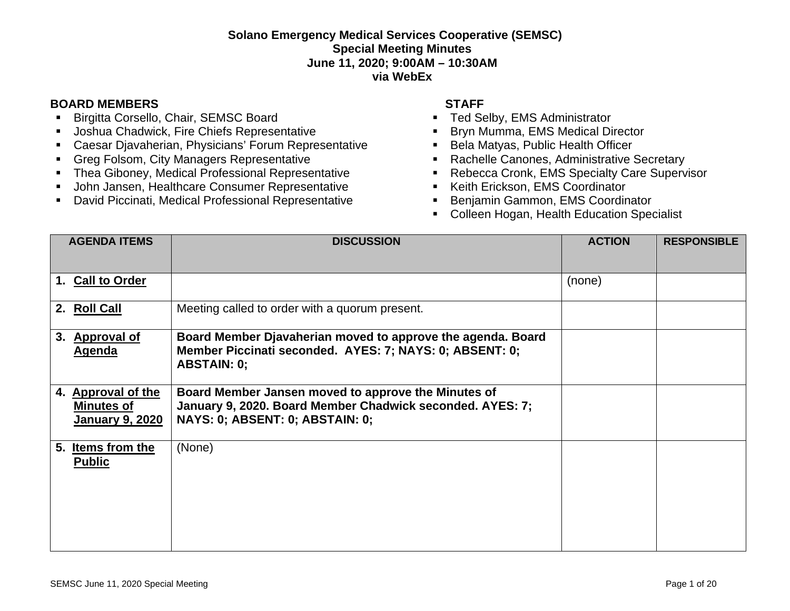## **Solano Emergency Medical Services Cooperative (SEMSC) Special Meeting Minutes June 11, 2020; 9:00AM – 10:30AM via WebEx**

## **BOARD MEMBERS STAFF**

- **Birgitta Corsello, Chair, SEMSC Board**
- **Joshua Chadwick, Fire Chiefs Representative**
- Caesar Djavaherian, Physicians' Forum Representative
- **Greg Folsom, City Managers Representative**
- **F** Thea Giboney, Medical Professional Representative
- **John Jansen, Healthcare Consumer Representative**
- David Piccinati, Medical Professional Representative

- **Ted Selby, EMS Administrator**
- **Bryn Mumma, EMS Medical Director**
- Bela Matyas, Public Health Officer
- Rachelle Canones, Administrative Secretary
- **Rebecca Cronk, EMS Specialty Care Supervisor**
- Keith Erickson, EMS Coordinator
- **Benjamin Gammon, EMS Coordinator**
- **Colleen Hogan, Health Education Specialist**

| <b>AGENDA ITEMS</b>                                               | <b>DISCUSSION</b>                                                                                                                                   | <b>ACTION</b> | <b>RESPONSIBLE</b> |
|-------------------------------------------------------------------|-----------------------------------------------------------------------------------------------------------------------------------------------------|---------------|--------------------|
| 1. Call to Order                                                  |                                                                                                                                                     | (none)        |                    |
| 2. Roll Call                                                      | Meeting called to order with a quorum present.                                                                                                      |               |                    |
| <b>Approval of</b><br>3.<br><b>Agenda</b>                         | Board Member Djavaherian moved to approve the agenda. Board<br>Member Piccinati seconded. AYES: 7; NAYS: 0; ABSENT: 0;<br><b>ABSTAIN: 0;</b>        |               |                    |
| 4. Approval of the<br><b>Minutes of</b><br><u>January 9, 2020</u> | Board Member Jansen moved to approve the Minutes of<br>January 9, 2020. Board Member Chadwick seconded. AYES: 7;<br>NAYS: 0; ABSENT: 0; ABSTAIN: 0; |               |                    |
| 5. Items from the<br><b>Public</b>                                | (None)                                                                                                                                              |               |                    |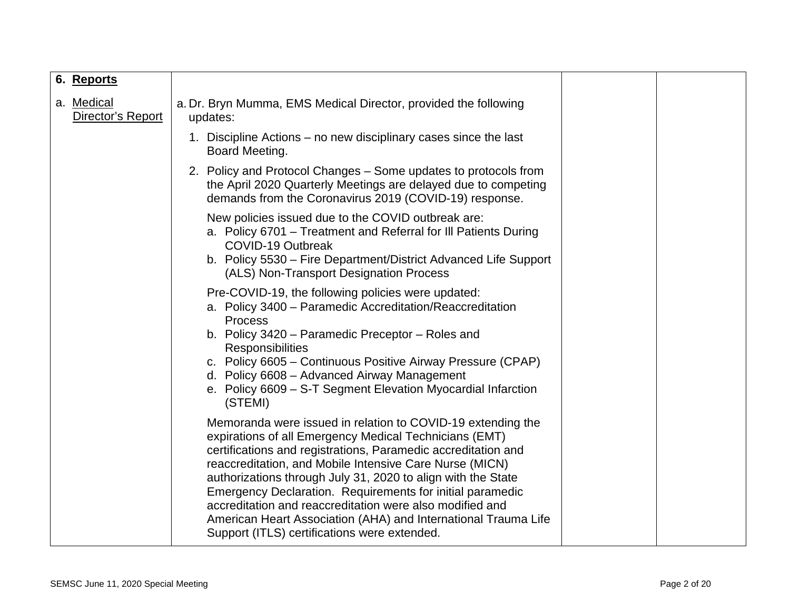| 6. Reports                      |                                                                                                                                                                                                                                                                                                                                                                                                                                                                                                                                                              |  |
|---------------------------------|--------------------------------------------------------------------------------------------------------------------------------------------------------------------------------------------------------------------------------------------------------------------------------------------------------------------------------------------------------------------------------------------------------------------------------------------------------------------------------------------------------------------------------------------------------------|--|
| a. Medical<br>Director's Report | a. Dr. Bryn Mumma, EMS Medical Director, provided the following<br>updates:                                                                                                                                                                                                                                                                                                                                                                                                                                                                                  |  |
|                                 | 1. Discipline Actions – no new disciplinary cases since the last<br>Board Meeting.                                                                                                                                                                                                                                                                                                                                                                                                                                                                           |  |
|                                 | 2. Policy and Protocol Changes – Some updates to protocols from<br>the April 2020 Quarterly Meetings are delayed due to competing<br>demands from the Coronavirus 2019 (COVID-19) response.                                                                                                                                                                                                                                                                                                                                                                  |  |
|                                 | New policies issued due to the COVID outbreak are:<br>a. Policy 6701 – Treatment and Referral for III Patients During<br>COVID-19 Outbreak<br>b. Policy 5530 – Fire Department/District Advanced Life Support<br>(ALS) Non-Transport Designation Process                                                                                                                                                                                                                                                                                                     |  |
|                                 | Pre-COVID-19, the following policies were updated:<br>a. Policy 3400 - Paramedic Accreditation/Reaccreditation<br><b>Process</b><br>b. Policy 3420 - Paramedic Preceptor - Roles and<br>Responsibilities<br>c. Policy 6605 - Continuous Positive Airway Pressure (CPAP)<br>d. Policy 6608 - Advanced Airway Management<br>e. Policy 6609 - S-T Segment Elevation Myocardial Infarction<br>(STEMI)                                                                                                                                                            |  |
|                                 | Memoranda were issued in relation to COVID-19 extending the<br>expirations of all Emergency Medical Technicians (EMT)<br>certifications and registrations, Paramedic accreditation and<br>reaccreditation, and Mobile Intensive Care Nurse (MICN)<br>authorizations through July 31, 2020 to align with the State<br>Emergency Declaration. Requirements for initial paramedic<br>accreditation and reaccreditation were also modified and<br>American Heart Association (AHA) and International Trauma Life<br>Support (ITLS) certifications were extended. |  |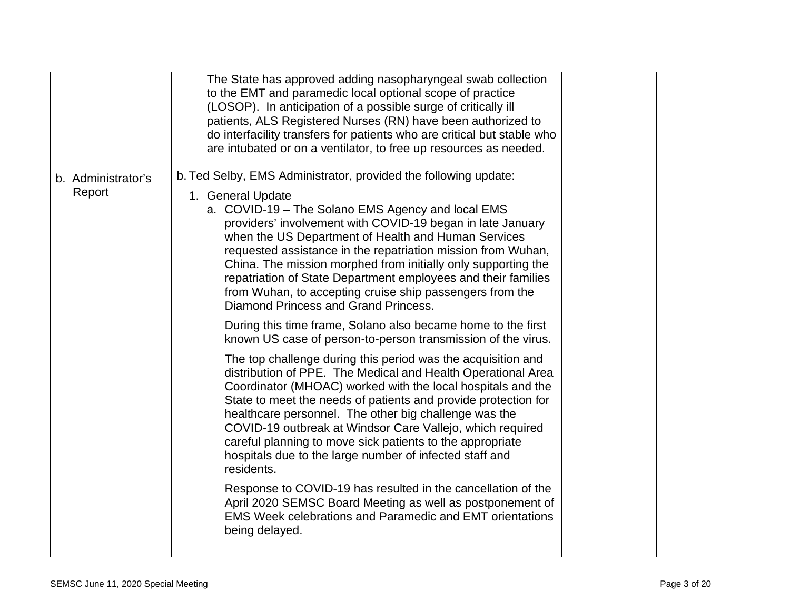|                              | The State has approved adding nasopharyngeal swab collection<br>to the EMT and paramedic local optional scope of practice<br>(LOSOP). In anticipation of a possible surge of critically ill<br>patients, ALS Registered Nurses (RN) have been authorized to<br>do interfacility transfers for patients who are critical but stable who<br>are intubated or on a ventilator, to free up resources as needed.                                                                                                                                                          |  |
|------------------------------|----------------------------------------------------------------------------------------------------------------------------------------------------------------------------------------------------------------------------------------------------------------------------------------------------------------------------------------------------------------------------------------------------------------------------------------------------------------------------------------------------------------------------------------------------------------------|--|
| b. Administrator's<br>Report | b. Ted Selby, EMS Administrator, provided the following update:<br>1. General Update<br>a. COVID-19 - The Solano EMS Agency and local EMS<br>providers' involvement with COVID-19 began in late January<br>when the US Department of Health and Human Services<br>requested assistance in the repatriation mission from Wuhan,<br>China. The mission morphed from initially only supporting the<br>repatriation of State Department employees and their families<br>from Wuhan, to accepting cruise ship passengers from the<br>Diamond Princess and Grand Princess. |  |
|                              | During this time frame, Solano also became home to the first<br>known US case of person-to-person transmission of the virus.                                                                                                                                                                                                                                                                                                                                                                                                                                         |  |
|                              | The top challenge during this period was the acquisition and<br>distribution of PPE. The Medical and Health Operational Area<br>Coordinator (MHOAC) worked with the local hospitals and the<br>State to meet the needs of patients and provide protection for<br>healthcare personnel. The other big challenge was the<br>COVID-19 outbreak at Windsor Care Vallejo, which required<br>careful planning to move sick patients to the appropriate<br>hospitals due to the large number of infected staff and<br>residents.                                            |  |
|                              | Response to COVID-19 has resulted in the cancellation of the<br>April 2020 SEMSC Board Meeting as well as postponement of<br><b>EMS Week celebrations and Paramedic and EMT orientations</b><br>being delayed.                                                                                                                                                                                                                                                                                                                                                       |  |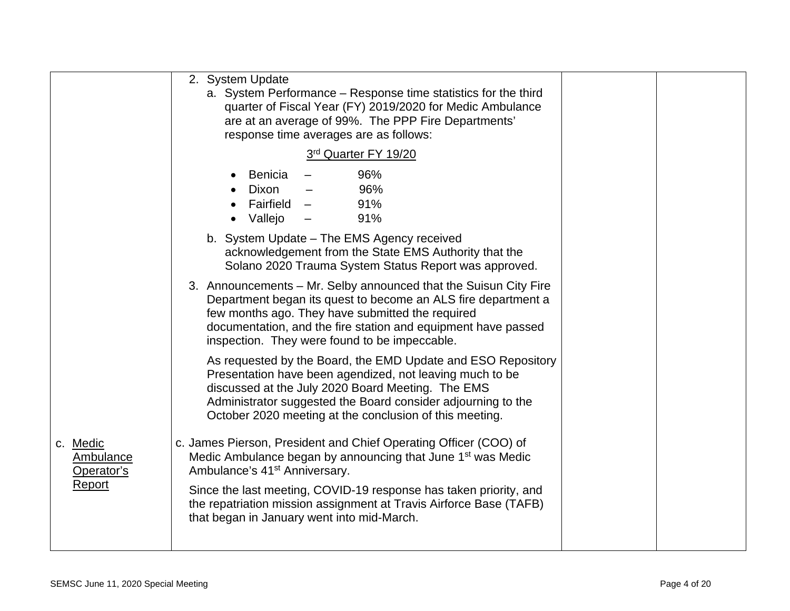|                                            | 2. System Update<br>a. System Performance – Response time statistics for the third<br>quarter of Fiscal Year (FY) 2019/2020 for Medic Ambulance<br>are at an average of 99%. The PPP Fire Departments'<br>response time averages are as follows:                                                         |  |
|--------------------------------------------|----------------------------------------------------------------------------------------------------------------------------------------------------------------------------------------------------------------------------------------------------------------------------------------------------------|--|
|                                            | 3rd Quarter FY 19/20                                                                                                                                                                                                                                                                                     |  |
|                                            | 96%<br>Benicia<br>$\bullet$<br>Dixon<br>96%<br>Fairfield –<br>91%<br>91%<br>Vallejo                                                                                                                                                                                                                      |  |
|                                            | b. System Update - The EMS Agency received<br>acknowledgement from the State EMS Authority that the<br>Solano 2020 Trauma System Status Report was approved.                                                                                                                                             |  |
|                                            | 3. Announcements – Mr. Selby announced that the Suisun City Fire<br>Department began its quest to become an ALS fire department a<br>few months ago. They have submitted the required<br>documentation, and the fire station and equipment have passed<br>inspection. They were found to be impeccable.  |  |
|                                            | As requested by the Board, the EMD Update and ESO Repository<br>Presentation have been agendized, not leaving much to be<br>discussed at the July 2020 Board Meeting. The EMS<br>Administrator suggested the Board consider adjourning to the<br>October 2020 meeting at the conclusion of this meeting. |  |
| c. Medic<br><b>Ambulance</b><br>Operator's | c. James Pierson, President and Chief Operating Officer (COO) of<br>Medic Ambulance began by announcing that June 1 <sup>st</sup> was Medic<br>Ambulance's 41 <sup>st</sup> Anniversary.                                                                                                                 |  |
| Report                                     | Since the last meeting, COVID-19 response has taken priority, and<br>the repatriation mission assignment at Travis Airforce Base (TAFB)<br>that began in January went into mid-March.                                                                                                                    |  |
|                                            |                                                                                                                                                                                                                                                                                                          |  |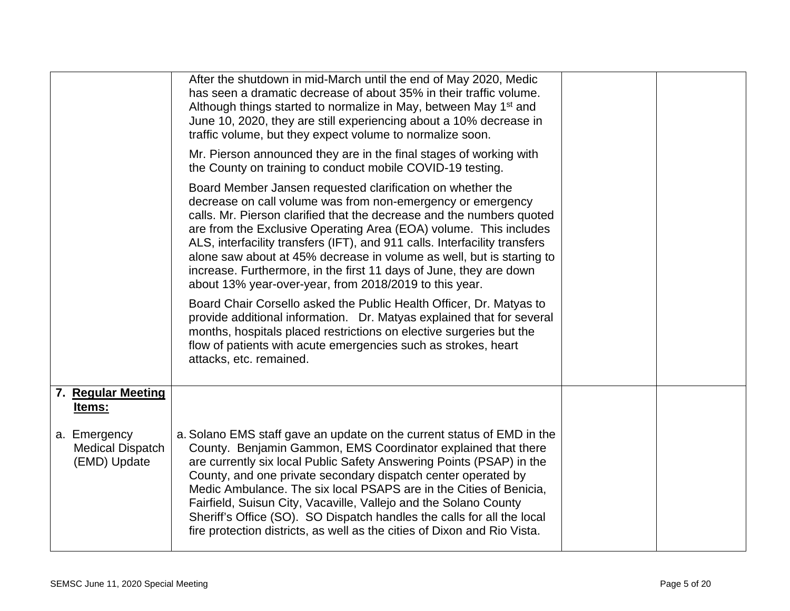|                                                         | After the shutdown in mid-March until the end of May 2020, Medic<br>has seen a dramatic decrease of about 35% in their traffic volume.<br>Although things started to normalize in May, between May 1 <sup>st</sup> and<br>June 10, 2020, they are still experiencing about a 10% decrease in<br>traffic volume, but they expect volume to normalize soon.                                                                                                                                                                                                                        |  |
|---------------------------------------------------------|----------------------------------------------------------------------------------------------------------------------------------------------------------------------------------------------------------------------------------------------------------------------------------------------------------------------------------------------------------------------------------------------------------------------------------------------------------------------------------------------------------------------------------------------------------------------------------|--|
|                                                         | Mr. Pierson announced they are in the final stages of working with<br>the County on training to conduct mobile COVID-19 testing.                                                                                                                                                                                                                                                                                                                                                                                                                                                 |  |
|                                                         | Board Member Jansen requested clarification on whether the<br>decrease on call volume was from non-emergency or emergency<br>calls. Mr. Pierson clarified that the decrease and the numbers quoted<br>are from the Exclusive Operating Area (EOA) volume. This includes<br>ALS, interfacility transfers (IFT), and 911 calls. Interfacility transfers<br>alone saw about at 45% decrease in volume as well, but is starting to<br>increase. Furthermore, in the first 11 days of June, they are down<br>about 13% year-over-year, from 2018/2019 to this year.                   |  |
|                                                         | Board Chair Corsello asked the Public Health Officer, Dr. Matyas to<br>provide additional information. Dr. Matyas explained that for several<br>months, hospitals placed restrictions on elective surgeries but the<br>flow of patients with acute emergencies such as strokes, heart<br>attacks, etc. remained.                                                                                                                                                                                                                                                                 |  |
| 7. Regular Meeting<br>Items:                            |                                                                                                                                                                                                                                                                                                                                                                                                                                                                                                                                                                                  |  |
| a. Emergency<br><b>Medical Dispatch</b><br>(EMD) Update | a. Solano EMS staff gave an update on the current status of EMD in the<br>County. Benjamin Gammon, EMS Coordinator explained that there<br>are currently six local Public Safety Answering Points (PSAP) in the<br>County, and one private secondary dispatch center operated by<br>Medic Ambulance. The six local PSAPS are in the Cities of Benicia,<br>Fairfield, Suisun City, Vacaville, Vallejo and the Solano County<br>Sheriff's Office (SO). SO Dispatch handles the calls for all the local<br>fire protection districts, as well as the cities of Dixon and Rio Vista. |  |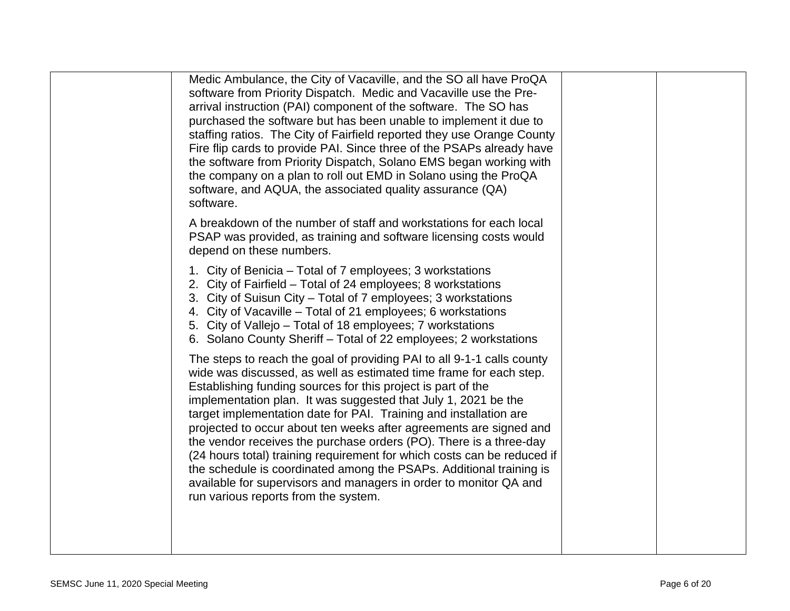| Medic Ambulance, the City of Vacaville, and the SO all have ProQA<br>software from Priority Dispatch. Medic and Vacaville use the Pre-<br>arrival instruction (PAI) component of the software. The SO has<br>purchased the software but has been unable to implement it due to<br>staffing ratios. The City of Fairfield reported they use Orange County<br>Fire flip cards to provide PAI. Since three of the PSAPs already have<br>the software from Priority Dispatch, Solano EMS began working with<br>the company on a plan to roll out EMD in Solano using the ProQA<br>software, and AQUA, the associated quality assurance (QA)<br>software.                                                                                                           |  |
|----------------------------------------------------------------------------------------------------------------------------------------------------------------------------------------------------------------------------------------------------------------------------------------------------------------------------------------------------------------------------------------------------------------------------------------------------------------------------------------------------------------------------------------------------------------------------------------------------------------------------------------------------------------------------------------------------------------------------------------------------------------|--|
| A breakdown of the number of staff and workstations for each local<br>PSAP was provided, as training and software licensing costs would<br>depend on these numbers.                                                                                                                                                                                                                                                                                                                                                                                                                                                                                                                                                                                            |  |
| 1. City of Benicia – Total of 7 employees; 3 workstations<br>2. City of Fairfield - Total of 24 employees; 8 workstations<br>3. City of Suisun City - Total of 7 employees; 3 workstations<br>4. City of Vacaville – Total of 21 employees; 6 workstations<br>5. City of Vallejo - Total of 18 employees; 7 workstations<br>6. Solano County Sheriff - Total of 22 employees; 2 workstations                                                                                                                                                                                                                                                                                                                                                                   |  |
| The steps to reach the goal of providing PAI to all 9-1-1 calls county<br>wide was discussed, as well as estimated time frame for each step.<br>Establishing funding sources for this project is part of the<br>implementation plan. It was suggested that July 1, 2021 be the<br>target implementation date for PAI. Training and installation are<br>projected to occur about ten weeks after agreements are signed and<br>the vendor receives the purchase orders (PO). There is a three-day<br>(24 hours total) training requirement for which costs can be reduced if<br>the schedule is coordinated among the PSAPs. Additional training is<br>available for supervisors and managers in order to monitor QA and<br>run various reports from the system. |  |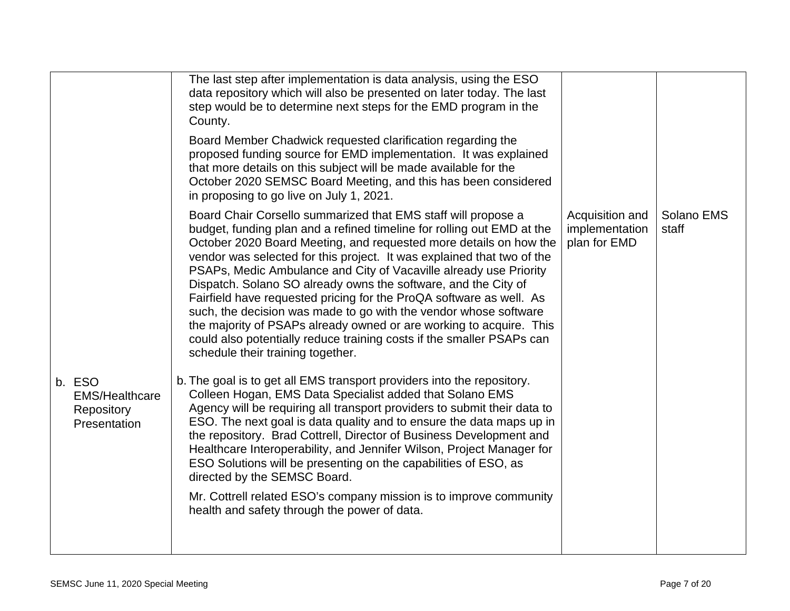|                                                               | The last step after implementation is data analysis, using the ESO<br>data repository which will also be presented on later today. The last<br>step would be to determine next steps for the EMD program in the<br>County.<br>Board Member Chadwick requested clarification regarding the<br>proposed funding source for EMD implementation. It was explained<br>that more details on this subject will be made available for the<br>October 2020 SEMSC Board Meeting, and this has been considered<br>in proposing to go live on July 1, 2021.                                                                                                                                                                                                               |                                                   |                     |
|---------------------------------------------------------------|---------------------------------------------------------------------------------------------------------------------------------------------------------------------------------------------------------------------------------------------------------------------------------------------------------------------------------------------------------------------------------------------------------------------------------------------------------------------------------------------------------------------------------------------------------------------------------------------------------------------------------------------------------------------------------------------------------------------------------------------------------------|---------------------------------------------------|---------------------|
|                                                               | Board Chair Corsello summarized that EMS staff will propose a<br>budget, funding plan and a refined timeline for rolling out EMD at the<br>October 2020 Board Meeting, and requested more details on how the<br>vendor was selected for this project. It was explained that two of the<br>PSAPs, Medic Ambulance and City of Vacaville already use Priority<br>Dispatch. Solano SO already owns the software, and the City of<br>Fairfield have requested pricing for the ProQA software as well. As<br>such, the decision was made to go with the vendor whose software<br>the majority of PSAPs already owned or are working to acquire. This<br>could also potentially reduce training costs if the smaller PSAPs can<br>schedule their training together. | Acquisition and<br>implementation<br>plan for EMD | Solano EMS<br>staff |
| b. ESO<br><b>EMS/Healthcare</b><br>Repository<br>Presentation | b. The goal is to get all EMS transport providers into the repository.<br>Colleen Hogan, EMS Data Specialist added that Solano EMS<br>Agency will be requiring all transport providers to submit their data to<br>ESO. The next goal is data quality and to ensure the data maps up in<br>the repository. Brad Cottrell, Director of Business Development and<br>Healthcare Interoperability, and Jennifer Wilson, Project Manager for<br>ESO Solutions will be presenting on the capabilities of ESO, as<br>directed by the SEMSC Board.<br>Mr. Cottrell related ESO's company mission is to improve community<br>health and safety through the power of data.                                                                                               |                                                   |                     |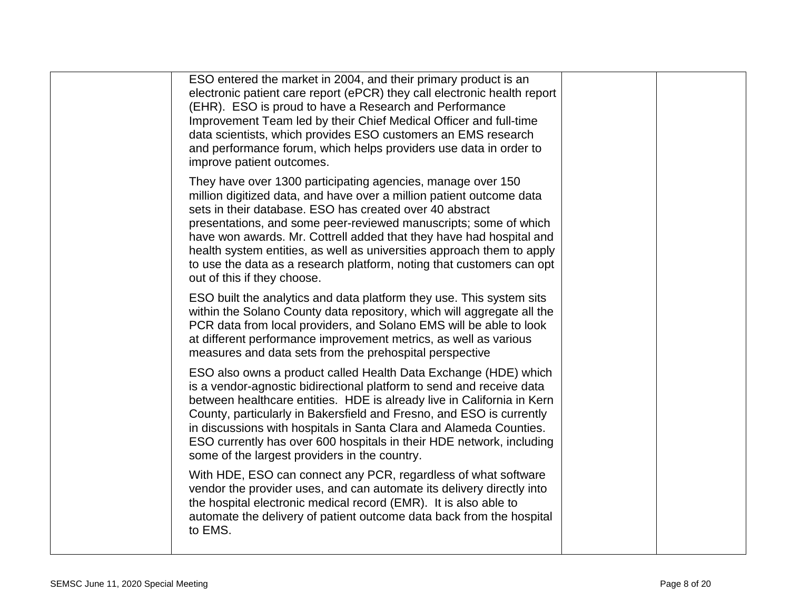| ESO entered the market in 2004, and their primary product is an<br>electronic patient care report (ePCR) they call electronic health report<br>(EHR). ESO is proud to have a Research and Performance<br>Improvement Team led by their Chief Medical Officer and full-time<br>data scientists, which provides ESO customers an EMS research<br>and performance forum, which helps providers use data in order to<br>improve patient outcomes.                                                                                |  |
|------------------------------------------------------------------------------------------------------------------------------------------------------------------------------------------------------------------------------------------------------------------------------------------------------------------------------------------------------------------------------------------------------------------------------------------------------------------------------------------------------------------------------|--|
| They have over 1300 participating agencies, manage over 150<br>million digitized data, and have over a million patient outcome data<br>sets in their database. ESO has created over 40 abstract<br>presentations, and some peer-reviewed manuscripts; some of which<br>have won awards. Mr. Cottrell added that they have had hospital and<br>health system entities, as well as universities approach them to apply<br>to use the data as a research platform, noting that customers can opt<br>out of this if they choose. |  |
| ESO built the analytics and data platform they use. This system sits<br>within the Solano County data repository, which will aggregate all the<br>PCR data from local providers, and Solano EMS will be able to look<br>at different performance improvement metrics, as well as various<br>measures and data sets from the prehospital perspective                                                                                                                                                                          |  |
| ESO also owns a product called Health Data Exchange (HDE) which<br>is a vendor-agnostic bidirectional platform to send and receive data<br>between healthcare entities. HDE is already live in California in Kern<br>County, particularly in Bakersfield and Fresno, and ESO is currently<br>in discussions with hospitals in Santa Clara and Alameda Counties.<br>ESO currently has over 600 hospitals in their HDE network, including<br>some of the largest providers in the country.                                     |  |
| With HDE, ESO can connect any PCR, regardless of what software<br>vendor the provider uses, and can automate its delivery directly into<br>the hospital electronic medical record (EMR). It is also able to<br>automate the delivery of patient outcome data back from the hospital<br>to EMS.                                                                                                                                                                                                                               |  |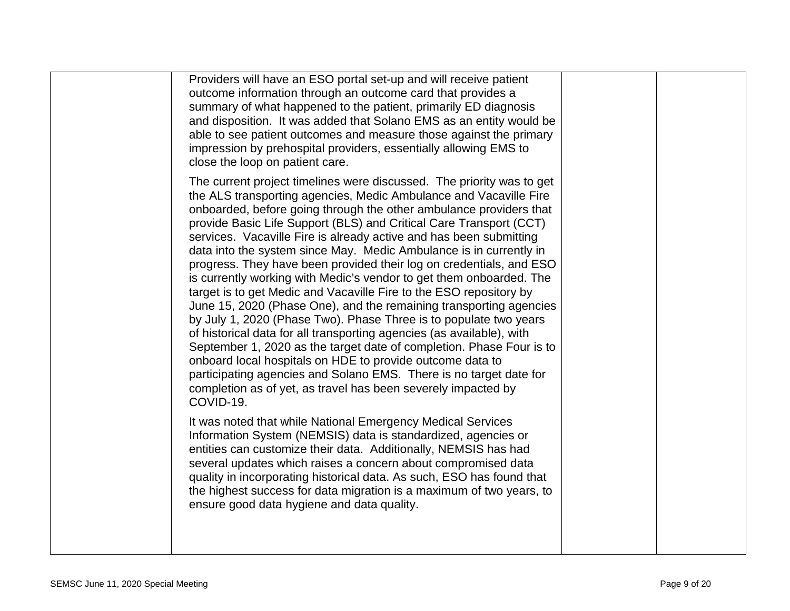| Providers will have an ESO portal set-up and will receive patient<br>outcome information through an outcome card that provides a<br>summary of what happened to the patient, primarily ED diagnosis<br>and disposition. It was added that Solano EMS as an entity would be<br>able to see patient outcomes and measure those against the primary<br>impression by prehospital providers, essentially allowing EMS to<br>close the loop on patient care.                                                                                                                                                                                                                                                                                                                                                                                                                                                                                                                                                                                                                                                                                                             |  |
|---------------------------------------------------------------------------------------------------------------------------------------------------------------------------------------------------------------------------------------------------------------------------------------------------------------------------------------------------------------------------------------------------------------------------------------------------------------------------------------------------------------------------------------------------------------------------------------------------------------------------------------------------------------------------------------------------------------------------------------------------------------------------------------------------------------------------------------------------------------------------------------------------------------------------------------------------------------------------------------------------------------------------------------------------------------------------------------------------------------------------------------------------------------------|--|
| The current project timelines were discussed. The priority was to get<br>the ALS transporting agencies, Medic Ambulance and Vacaville Fire<br>onboarded, before going through the other ambulance providers that<br>provide Basic Life Support (BLS) and Critical Care Transport (CCT)<br>services. Vacaville Fire is already active and has been submitting<br>data into the system since May. Medic Ambulance is in currently in<br>progress. They have been provided their log on credentials, and ESO<br>is currently working with Medic's vendor to get them onboarded. The<br>target is to get Medic and Vacaville Fire to the ESO repository by<br>June 15, 2020 (Phase One), and the remaining transporting agencies<br>by July 1, 2020 (Phase Two). Phase Three is to populate two years<br>of historical data for all transporting agencies (as available), with<br>September 1, 2020 as the target date of completion. Phase Four is to<br>onboard local hospitals on HDE to provide outcome data to<br>participating agencies and Solano EMS. There is no target date for<br>completion as of yet, as travel has been severely impacted by<br>COVID-19. |  |
| It was noted that while National Emergency Medical Services<br>Information System (NEMSIS) data is standardized, agencies or<br>entities can customize their data. Additionally, NEMSIS has had<br>several updates which raises a concern about compromised data<br>quality in incorporating historical data. As such, ESO has found that<br>the highest success for data migration is a maximum of two years, to<br>ensure good data hygiene and data quality.                                                                                                                                                                                                                                                                                                                                                                                                                                                                                                                                                                                                                                                                                                     |  |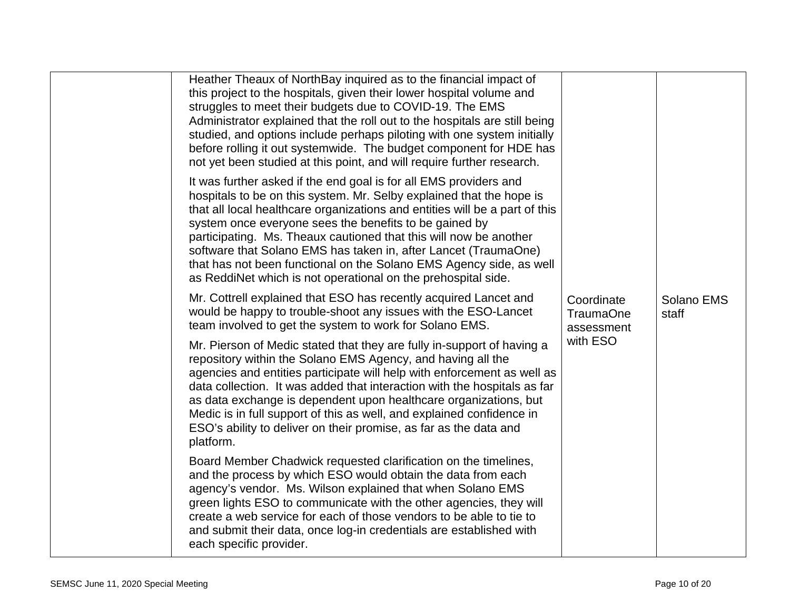| Heather Theaux of NorthBay inquired as to the financial impact of<br>this project to the hospitals, given their lower hospital volume and<br>struggles to meet their budgets due to COVID-19. The EMS<br>Administrator explained that the roll out to the hospitals are still being<br>studied, and options include perhaps piloting with one system initially<br>before rolling it out systemwide. The budget component for HDE has<br>not yet been studied at this point, and will require further research.                                                     | Coordinate<br><b>TraumaOne</b><br>assessment |                     |  |
|--------------------------------------------------------------------------------------------------------------------------------------------------------------------------------------------------------------------------------------------------------------------------------------------------------------------------------------------------------------------------------------------------------------------------------------------------------------------------------------------------------------------------------------------------------------------|----------------------------------------------|---------------------|--|
| It was further asked if the end goal is for all EMS providers and<br>hospitals to be on this system. Mr. Selby explained that the hope is<br>that all local healthcare organizations and entities will be a part of this<br>system once everyone sees the benefits to be gained by<br>participating. Ms. Theaux cautioned that this will now be another<br>software that Solano EMS has taken in, after Lancet (TraumaOne)<br>that has not been functional on the Solano EMS Agency side, as well<br>as ReddiNet which is not operational on the prehospital side. |                                              |                     |  |
| Mr. Cottrell explained that ESO has recently acquired Lancet and<br>would be happy to trouble-shoot any issues with the ESO-Lancet<br>team involved to get the system to work for Solano EMS.                                                                                                                                                                                                                                                                                                                                                                      |                                              | Solano EMS<br>staff |  |
| Mr. Pierson of Medic stated that they are fully in-support of having a<br>repository within the Solano EMS Agency, and having all the<br>agencies and entities participate will help with enforcement as well as<br>data collection. It was added that interaction with the hospitals as far<br>as data exchange is dependent upon healthcare organizations, but<br>Medic is in full support of this as well, and explained confidence in<br>ESO's ability to deliver on their promise, as far as the data and<br>platform.                                        | with ESO                                     |                     |  |
| Board Member Chadwick requested clarification on the timelines,<br>and the process by which ESO would obtain the data from each<br>agency's vendor. Ms. Wilson explained that when Solano EMS<br>green lights ESO to communicate with the other agencies, they will<br>create a web service for each of those vendors to be able to tie to<br>and submit their data, once log-in credentials are established with<br>each specific provider.                                                                                                                       |                                              |                     |  |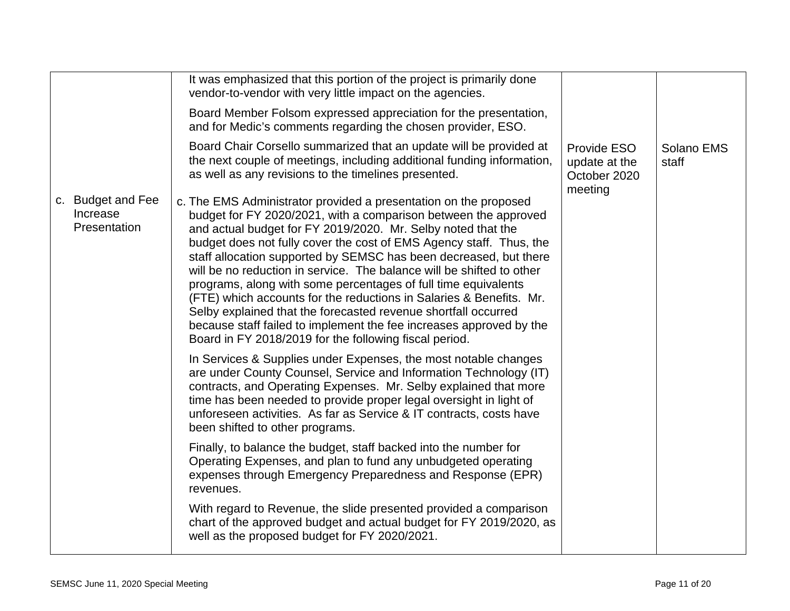|                                               | It was emphasized that this portion of the project is primarily done<br>vendor-to-vendor with very little impact on the agencies.<br>Board Member Folsom expressed appreciation for the presentation,<br>and for Medic's comments regarding the chosen provider, ESO.                                                                                                                                                                                                                                                                                                                                                                                                                                                                                                |                                                         |                     |
|-----------------------------------------------|----------------------------------------------------------------------------------------------------------------------------------------------------------------------------------------------------------------------------------------------------------------------------------------------------------------------------------------------------------------------------------------------------------------------------------------------------------------------------------------------------------------------------------------------------------------------------------------------------------------------------------------------------------------------------------------------------------------------------------------------------------------------|---------------------------------------------------------|---------------------|
|                                               | Board Chair Corsello summarized that an update will be provided at<br>the next couple of meetings, including additional funding information,<br>as well as any revisions to the timelines presented.                                                                                                                                                                                                                                                                                                                                                                                                                                                                                                                                                                 | Provide ESO<br>update at the<br>October 2020<br>meeting | Solano EMS<br>staff |
| c. Budget and Fee<br>Increase<br>Presentation | c. The EMS Administrator provided a presentation on the proposed<br>budget for FY 2020/2021, with a comparison between the approved<br>and actual budget for FY 2019/2020. Mr. Selby noted that the<br>budget does not fully cover the cost of EMS Agency staff. Thus, the<br>staff allocation supported by SEMSC has been decreased, but there<br>will be no reduction in service. The balance will be shifted to other<br>programs, along with some percentages of full time equivalents<br>(FTE) which accounts for the reductions in Salaries & Benefits. Mr.<br>Selby explained that the forecasted revenue shortfall occurred<br>because staff failed to implement the fee increases approved by the<br>Board in FY 2018/2019 for the following fiscal period. |                                                         |                     |
|                                               | In Services & Supplies under Expenses, the most notable changes<br>are under County Counsel, Service and Information Technology (IT)<br>contracts, and Operating Expenses. Mr. Selby explained that more<br>time has been needed to provide proper legal oversight in light of<br>unforeseen activities. As far as Service & IT contracts, costs have<br>been shifted to other programs.                                                                                                                                                                                                                                                                                                                                                                             |                                                         |                     |
|                                               | Finally, to balance the budget, staff backed into the number for<br>Operating Expenses, and plan to fund any unbudgeted operating<br>expenses through Emergency Preparedness and Response (EPR)<br>revenues.                                                                                                                                                                                                                                                                                                                                                                                                                                                                                                                                                         |                                                         |                     |
|                                               | With regard to Revenue, the slide presented provided a comparison<br>chart of the approved budget and actual budget for FY 2019/2020, as<br>well as the proposed budget for FY 2020/2021.                                                                                                                                                                                                                                                                                                                                                                                                                                                                                                                                                                            |                                                         |                     |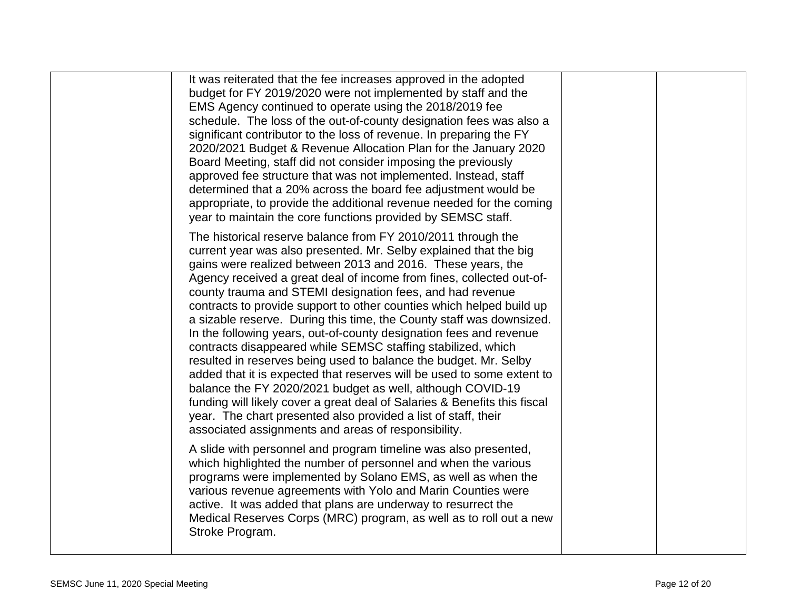| It was reiterated that the fee increases approved in the adopted<br>budget for FY 2019/2020 were not implemented by staff and the<br>EMS Agency continued to operate using the 2018/2019 fee<br>schedule. The loss of the out-of-county designation fees was also a<br>significant contributor to the loss of revenue. In preparing the FY<br>2020/2021 Budget & Revenue Allocation Plan for the January 2020<br>Board Meeting, staff did not consider imposing the previously<br>approved fee structure that was not implemented. Instead, staff<br>determined that a 20% across the board fee adjustment would be<br>appropriate, to provide the additional revenue needed for the coming<br>year to maintain the core functions provided by SEMSC staff.                                                                                                                                                                                                                                                                                   |  |
|-----------------------------------------------------------------------------------------------------------------------------------------------------------------------------------------------------------------------------------------------------------------------------------------------------------------------------------------------------------------------------------------------------------------------------------------------------------------------------------------------------------------------------------------------------------------------------------------------------------------------------------------------------------------------------------------------------------------------------------------------------------------------------------------------------------------------------------------------------------------------------------------------------------------------------------------------------------------------------------------------------------------------------------------------|--|
| The historical reserve balance from FY 2010/2011 through the<br>current year was also presented. Mr. Selby explained that the big<br>gains were realized between 2013 and 2016. These years, the<br>Agency received a great deal of income from fines, collected out-of-<br>county trauma and STEMI designation fees, and had revenue<br>contracts to provide support to other counties which helped build up<br>a sizable reserve. During this time, the County staff was downsized.<br>In the following years, out-of-county designation fees and revenue<br>contracts disappeared while SEMSC staffing stabilized, which<br>resulted in reserves being used to balance the budget. Mr. Selby<br>added that it is expected that reserves will be used to some extent to<br>balance the FY 2020/2021 budget as well, although COVID-19<br>funding will likely cover a great deal of Salaries & Benefits this fiscal<br>year. The chart presented also provided a list of staff, their<br>associated assignments and areas of responsibility. |  |
| A slide with personnel and program timeline was also presented,<br>which highlighted the number of personnel and when the various<br>programs were implemented by Solano EMS, as well as when the<br>various revenue agreements with Yolo and Marin Counties were<br>active. It was added that plans are underway to resurrect the<br>Medical Reserves Corps (MRC) program, as well as to roll out a new<br>Stroke Program.                                                                                                                                                                                                                                                                                                                                                                                                                                                                                                                                                                                                                   |  |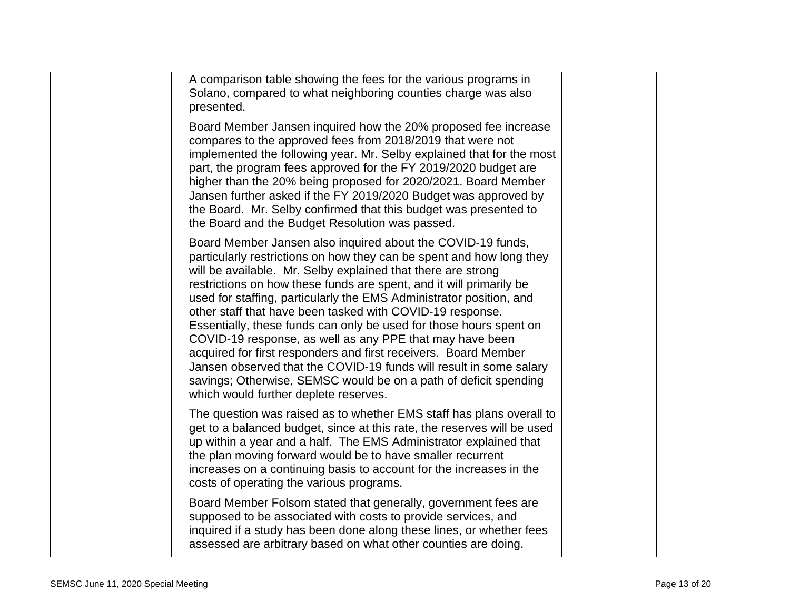| A comparison table showing the fees for the various programs in<br>Solano, compared to what neighboring counties charge was also<br>presented.                                                                                                                                                                                                                                                                                                                                                                                                                                                                                                                                                                                                                                                         |  |
|--------------------------------------------------------------------------------------------------------------------------------------------------------------------------------------------------------------------------------------------------------------------------------------------------------------------------------------------------------------------------------------------------------------------------------------------------------------------------------------------------------------------------------------------------------------------------------------------------------------------------------------------------------------------------------------------------------------------------------------------------------------------------------------------------------|--|
| Board Member Jansen inquired how the 20% proposed fee increase<br>compares to the approved fees from 2018/2019 that were not<br>implemented the following year. Mr. Selby explained that for the most<br>part, the program fees approved for the FY 2019/2020 budget are<br>higher than the 20% being proposed for 2020/2021. Board Member<br>Jansen further asked if the FY 2019/2020 Budget was approved by<br>the Board. Mr. Selby confirmed that this budget was presented to<br>the Board and the Budget Resolution was passed.                                                                                                                                                                                                                                                                   |  |
| Board Member Jansen also inquired about the COVID-19 funds,<br>particularly restrictions on how they can be spent and how long they<br>will be available. Mr. Selby explained that there are strong<br>restrictions on how these funds are spent, and it will primarily be<br>used for staffing, particularly the EMS Administrator position, and<br>other staff that have been tasked with COVID-19 response.<br>Essentially, these funds can only be used for those hours spent on<br>COVID-19 response, as well as any PPE that may have been<br>acquired for first responders and first receivers. Board Member<br>Jansen observed that the COVID-19 funds will result in some salary<br>savings; Otherwise, SEMSC would be on a path of deficit spending<br>which would further deplete reserves. |  |
| The question was raised as to whether EMS staff has plans overall to<br>get to a balanced budget, since at this rate, the reserves will be used<br>up within a year and a half. The EMS Administrator explained that<br>the plan moving forward would be to have smaller recurrent<br>increases on a continuing basis to account for the increases in the<br>costs of operating the various programs.                                                                                                                                                                                                                                                                                                                                                                                                  |  |
| Board Member Folsom stated that generally, government fees are<br>supposed to be associated with costs to provide services, and<br>inquired if a study has been done along these lines, or whether fees<br>assessed are arbitrary based on what other counties are doing.                                                                                                                                                                                                                                                                                                                                                                                                                                                                                                                              |  |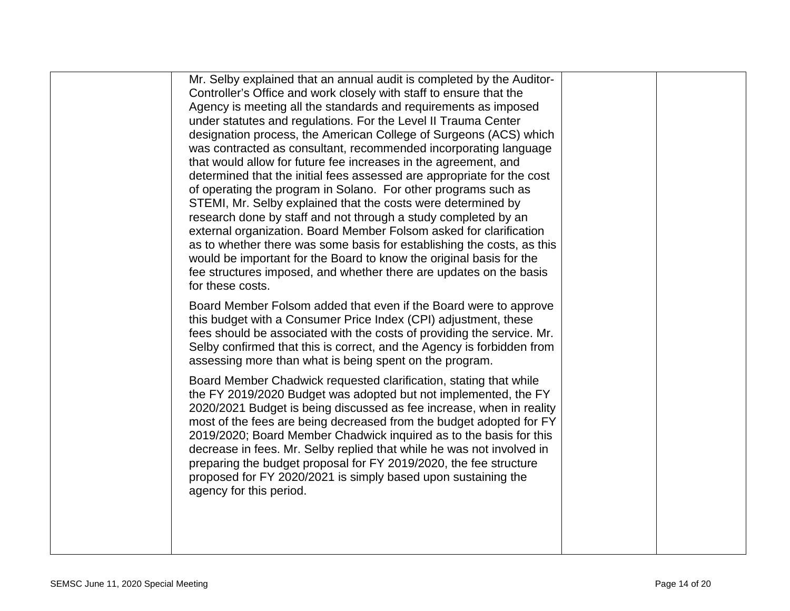| Mr. Selby explained that an annual audit is completed by the Auditor-<br>designation process, the American College of Surgeons (ACS) which<br>was contracted as consultant, recommended incorporating language<br>determined that the initial fees assessed are appropriate for the cost<br>Board Member Folsom added that even if the Board were to approve<br>fees should be associated with the costs of providing the service. Mr.<br>Selby confirmed that this is correct, and the Agency is forbidden from<br>the FY 2019/2020 Budget was adopted but not implemented, the FY<br>2019/2020; Board Member Chadwick inquired as to the basis for this<br>decrease in fees. Mr. Selby replied that while he was not involved in | as to whether there was some basis for establishing the costs, as this<br>2020/2021 Budget is being discussed as fee increase, when in reality<br>most of the fees are being decreased from the budget adopted for FY |
|------------------------------------------------------------------------------------------------------------------------------------------------------------------------------------------------------------------------------------------------------------------------------------------------------------------------------------------------------------------------------------------------------------------------------------------------------------------------------------------------------------------------------------------------------------------------------------------------------------------------------------------------------------------------------------------------------------------------------------|-----------------------------------------------------------------------------------------------------------------------------------------------------------------------------------------------------------------------|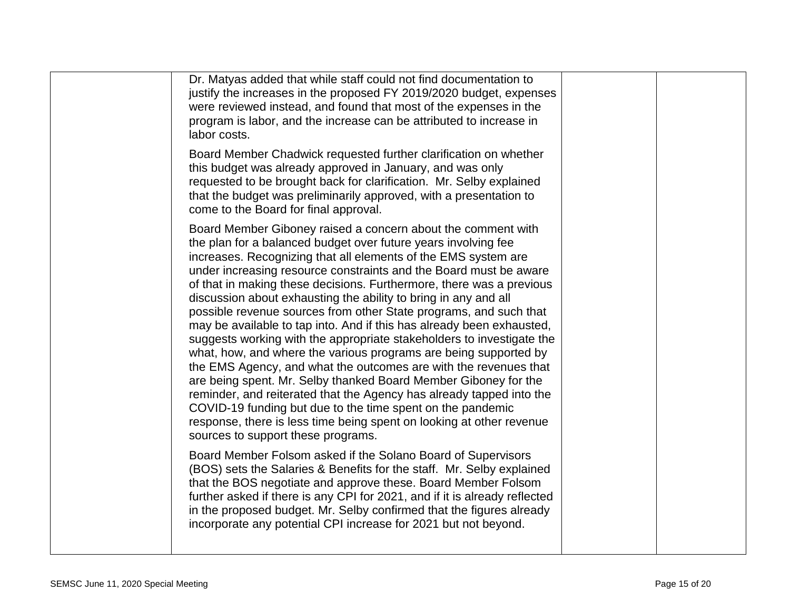| Dr. Matyas added that while staff could not find documentation to<br>justify the increases in the proposed FY 2019/2020 budget, expenses<br>were reviewed instead, and found that most of the expenses in the<br>program is labor, and the increase can be attributed to increase in<br>labor costs.                                                                                                                                                                                                                                                                                                                                                                                                                                                                                                                                                                                                                                                                                                                                                                                                   |  |
|--------------------------------------------------------------------------------------------------------------------------------------------------------------------------------------------------------------------------------------------------------------------------------------------------------------------------------------------------------------------------------------------------------------------------------------------------------------------------------------------------------------------------------------------------------------------------------------------------------------------------------------------------------------------------------------------------------------------------------------------------------------------------------------------------------------------------------------------------------------------------------------------------------------------------------------------------------------------------------------------------------------------------------------------------------------------------------------------------------|--|
| Board Member Chadwick requested further clarification on whether<br>this budget was already approved in January, and was only<br>requested to be brought back for clarification. Mr. Selby explained<br>that the budget was preliminarily approved, with a presentation to<br>come to the Board for final approval.                                                                                                                                                                                                                                                                                                                                                                                                                                                                                                                                                                                                                                                                                                                                                                                    |  |
| Board Member Giboney raised a concern about the comment with<br>the plan for a balanced budget over future years involving fee<br>increases. Recognizing that all elements of the EMS system are<br>under increasing resource constraints and the Board must be aware<br>of that in making these decisions. Furthermore, there was a previous<br>discussion about exhausting the ability to bring in any and all<br>possible revenue sources from other State programs, and such that<br>may be available to tap into. And if this has already been exhausted,<br>suggests working with the appropriate stakeholders to investigate the<br>what, how, and where the various programs are being supported by<br>the EMS Agency, and what the outcomes are with the revenues that<br>are being spent. Mr. Selby thanked Board Member Giboney for the<br>reminder, and reiterated that the Agency has already tapped into the<br>COVID-19 funding but due to the time spent on the pandemic<br>response, there is less time being spent on looking at other revenue<br>sources to support these programs. |  |
| Board Member Folsom asked if the Solano Board of Supervisors<br>(BOS) sets the Salaries & Benefits for the staff. Mr. Selby explained<br>that the BOS negotiate and approve these. Board Member Folsom<br>further asked if there is any CPI for 2021, and if it is already reflected<br>in the proposed budget. Mr. Selby confirmed that the figures already<br>incorporate any potential CPI increase for 2021 but not beyond.                                                                                                                                                                                                                                                                                                                                                                                                                                                                                                                                                                                                                                                                        |  |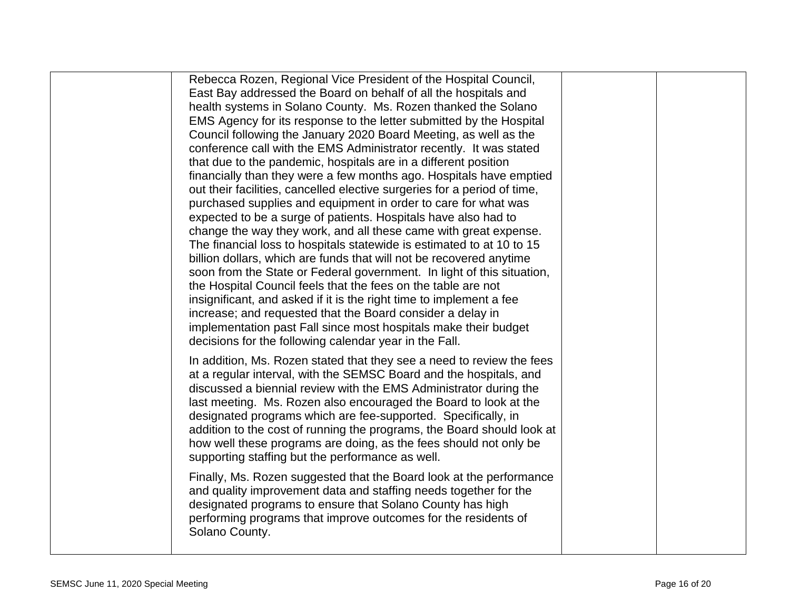| Rebecca Rozen, Regional Vice President of the Hospital Council,<br>East Bay addressed the Board on behalf of all the hospitals and            |  |
|-----------------------------------------------------------------------------------------------------------------------------------------------|--|
| health systems in Solano County. Ms. Rozen thanked the Solano                                                                                 |  |
| EMS Agency for its response to the letter submitted by the Hospital                                                                           |  |
| Council following the January 2020 Board Meeting, as well as the                                                                              |  |
| conference call with the EMS Administrator recently. It was stated                                                                            |  |
| that due to the pandemic, hospitals are in a different position                                                                               |  |
| financially than they were a few months ago. Hospitals have emptied                                                                           |  |
| out their facilities, cancelled elective surgeries for a period of time,                                                                      |  |
| purchased supplies and equipment in order to care for what was                                                                                |  |
| expected to be a surge of patients. Hospitals have also had to                                                                                |  |
| change the way they work, and all these came with great expense.                                                                              |  |
| The financial loss to hospitals statewide is estimated to at 10 to 15                                                                         |  |
| billion dollars, which are funds that will not be recovered anytime<br>soon from the State or Federal government. In light of this situation, |  |
| the Hospital Council feels that the fees on the table are not                                                                                 |  |
| insignificant, and asked if it is the right time to implement a fee                                                                           |  |
| increase; and requested that the Board consider a delay in                                                                                    |  |
| implementation past Fall since most hospitals make their budget                                                                               |  |
| decisions for the following calendar year in the Fall.                                                                                        |  |
|                                                                                                                                               |  |
| In addition, Ms. Rozen stated that they see a need to review the fees<br>at a regular interval, with the SEMSC Board and the hospitals, and   |  |
| discussed a biennial review with the EMS Administrator during the                                                                             |  |
| last meeting. Ms. Rozen also encouraged the Board to look at the                                                                              |  |
| designated programs which are fee-supported. Specifically, in                                                                                 |  |
| addition to the cost of running the programs, the Board should look at                                                                        |  |
| how well these programs are doing, as the fees should not only be                                                                             |  |
| supporting staffing but the performance as well.                                                                                              |  |
| Finally, Ms. Rozen suggested that the Board look at the performance                                                                           |  |
| and quality improvement data and staffing needs together for the                                                                              |  |
| designated programs to ensure that Solano County has high                                                                                     |  |
| performing programs that improve outcomes for the residents of                                                                                |  |
| Solano County.                                                                                                                                |  |
|                                                                                                                                               |  |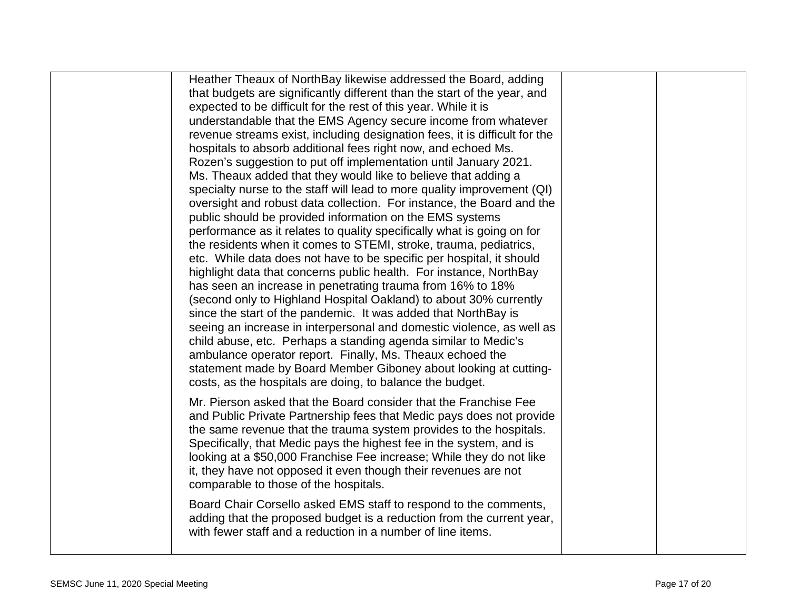| Heather Theaux of NorthBay likewise addressed the Board, adding<br>that budgets are significantly different than the start of the year, and<br>expected to be difficult for the rest of this year. While it is<br>understandable that the EMS Agency secure income from whatever<br>revenue streams exist, including designation fees, it is difficult for the<br>hospitals to absorb additional fees right now, and echoed Ms.<br>Rozen's suggestion to put off implementation until January 2021.<br>Ms. Theaux added that they would like to believe that adding a<br>specialty nurse to the staff will lead to more quality improvement (QI)<br>oversight and robust data collection. For instance, the Board and the<br>public should be provided information on the EMS systems<br>performance as it relates to quality specifically what is going on for<br>the residents when it comes to STEMI, stroke, trauma, pediatrics,<br>etc. While data does not have to be specific per hospital, it should<br>highlight data that concerns public health. For instance, NorthBay<br>has seen an increase in penetrating trauma from 16% to 18%<br>(second only to Highland Hospital Oakland) to about 30% currently<br>since the start of the pandemic. It was added that NorthBay is<br>seeing an increase in interpersonal and domestic violence, as well as<br>child abuse, etc. Perhaps a standing agenda similar to Medic's<br>ambulance operator report. Finally, Ms. Theaux echoed the<br>statement made by Board Member Giboney about looking at cutting-<br>costs, as the hospitals are doing, to balance the budget. |  |
|----------------------------------------------------------------------------------------------------------------------------------------------------------------------------------------------------------------------------------------------------------------------------------------------------------------------------------------------------------------------------------------------------------------------------------------------------------------------------------------------------------------------------------------------------------------------------------------------------------------------------------------------------------------------------------------------------------------------------------------------------------------------------------------------------------------------------------------------------------------------------------------------------------------------------------------------------------------------------------------------------------------------------------------------------------------------------------------------------------------------------------------------------------------------------------------------------------------------------------------------------------------------------------------------------------------------------------------------------------------------------------------------------------------------------------------------------------------------------------------------------------------------------------------------------------------------------------------------------------------------------------|--|
| Mr. Pierson asked that the Board consider that the Franchise Fee<br>and Public Private Partnership fees that Medic pays does not provide<br>the same revenue that the trauma system provides to the hospitals.<br>Specifically, that Medic pays the highest fee in the system, and is<br>looking at a \$50,000 Franchise Fee increase; While they do not like<br>it, they have not opposed it even though their revenues are not<br>comparable to those of the hospitals.                                                                                                                                                                                                                                                                                                                                                                                                                                                                                                                                                                                                                                                                                                                                                                                                                                                                                                                                                                                                                                                                                                                                                        |  |
| Board Chair Corsello asked EMS staff to respond to the comments,<br>adding that the proposed budget is a reduction from the current year,<br>with fewer staff and a reduction in a number of line items.                                                                                                                                                                                                                                                                                                                                                                                                                                                                                                                                                                                                                                                                                                                                                                                                                                                                                                                                                                                                                                                                                                                                                                                                                                                                                                                                                                                                                         |  |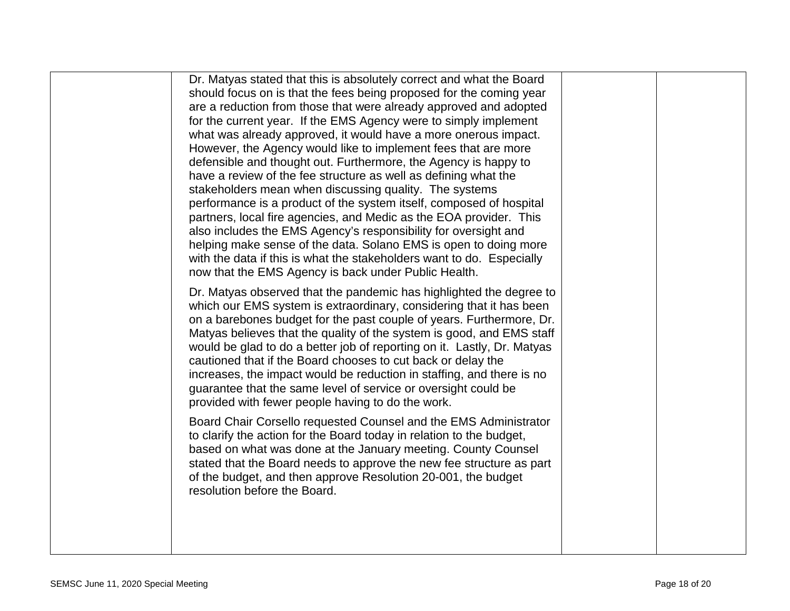| Dr. Matyas stated that this is absolutely correct and what the Board<br>should focus on is that the fees being proposed for the coming year<br>are a reduction from those that were already approved and adopted<br>for the current year. If the EMS Agency were to simply implement<br>what was already approved, it would have a more onerous impact.<br>However, the Agency would like to implement fees that are more<br>defensible and thought out. Furthermore, the Agency is happy to<br>have a review of the fee structure as well as defining what the<br>stakeholders mean when discussing quality. The systems<br>performance is a product of the system itself, composed of hospital<br>partners, local fire agencies, and Medic as the EOA provider. This<br>also includes the EMS Agency's responsibility for oversight and<br>helping make sense of the data. Solano EMS is open to doing more<br>with the data if this is what the stakeholders want to do. Especially                                                                                               |  |
|--------------------------------------------------------------------------------------------------------------------------------------------------------------------------------------------------------------------------------------------------------------------------------------------------------------------------------------------------------------------------------------------------------------------------------------------------------------------------------------------------------------------------------------------------------------------------------------------------------------------------------------------------------------------------------------------------------------------------------------------------------------------------------------------------------------------------------------------------------------------------------------------------------------------------------------------------------------------------------------------------------------------------------------------------------------------------------------|--|
| now that the EMS Agency is back under Public Health.<br>Dr. Matyas observed that the pandemic has highlighted the degree to<br>which our EMS system is extraordinary, considering that it has been<br>on a barebones budget for the past couple of years. Furthermore, Dr.<br>Matyas believes that the quality of the system is good, and EMS staff<br>would be glad to do a better job of reporting on it. Lastly, Dr. Matyas<br>cautioned that if the Board chooses to cut back or delay the<br>increases, the impact would be reduction in staffing, and there is no<br>guarantee that the same level of service or oversight could be<br>provided with fewer people having to do the work.<br>Board Chair Corsello requested Counsel and the EMS Administrator<br>to clarify the action for the Board today in relation to the budget,<br>based on what was done at the January meeting. County Counsel<br>stated that the Board needs to approve the new fee structure as part<br>of the budget, and then approve Resolution 20-001, the budget<br>resolution before the Board. |  |
|                                                                                                                                                                                                                                                                                                                                                                                                                                                                                                                                                                                                                                                                                                                                                                                                                                                                                                                                                                                                                                                                                      |  |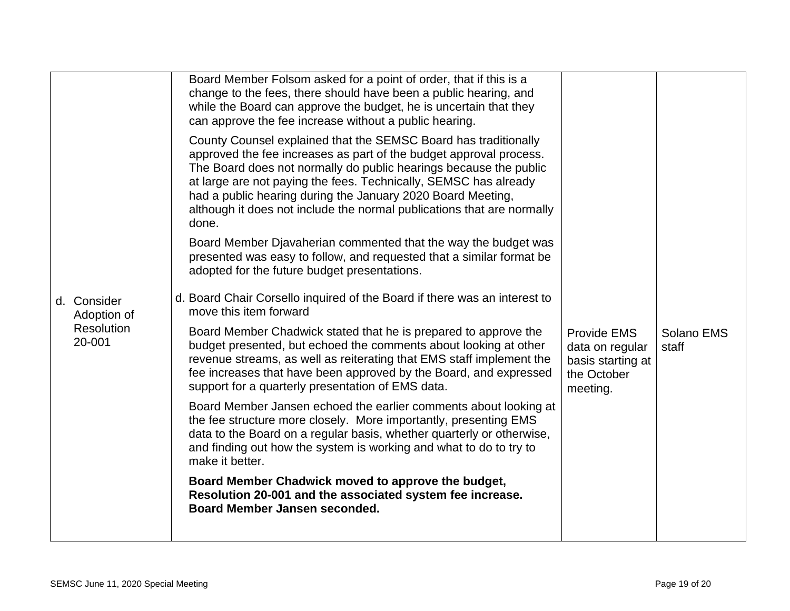|                            | Board Member Folsom asked for a point of order, that if this is a<br>change to the fees, there should have been a public hearing, and<br>while the Board can approve the budget, he is uncertain that they<br>can approve the fee increase without a public hearing.<br>County Counsel explained that the SEMSC Board has traditionally<br>approved the fee increases as part of the budget approval process.<br>The Board does not normally do public hearings because the public<br>at large are not paying the fees. Technically, SEMSC has already<br>had a public hearing during the January 2020 Board Meeting,<br>although it does not include the normal publications that are normally<br>done.<br>Board Member Djavaherian commented that the way the budget was<br>presented was easy to follow, and requested that a similar format be<br>adopted for the future budget presentations. |                                                                                       |                     |
|----------------------------|----------------------------------------------------------------------------------------------------------------------------------------------------------------------------------------------------------------------------------------------------------------------------------------------------------------------------------------------------------------------------------------------------------------------------------------------------------------------------------------------------------------------------------------------------------------------------------------------------------------------------------------------------------------------------------------------------------------------------------------------------------------------------------------------------------------------------------------------------------------------------------------------------|---------------------------------------------------------------------------------------|---------------------|
| d. Consider<br>Adoption of | d. Board Chair Corsello inquired of the Board if there was an interest to<br>move this item forward                                                                                                                                                                                                                                                                                                                                                                                                                                                                                                                                                                                                                                                                                                                                                                                                |                                                                                       |                     |
| Resolution<br>20-001       | Board Member Chadwick stated that he is prepared to approve the<br>budget presented, but echoed the comments about looking at other<br>revenue streams, as well as reiterating that EMS staff implement the<br>fee increases that have been approved by the Board, and expressed<br>support for a quarterly presentation of EMS data.                                                                                                                                                                                                                                                                                                                                                                                                                                                                                                                                                              | <b>Provide EMS</b><br>data on regular<br>basis starting at<br>the October<br>meeting. | Solano EMS<br>staff |
|                            | Board Member Jansen echoed the earlier comments about looking at<br>the fee structure more closely. More importantly, presenting EMS<br>data to the Board on a regular basis, whether quarterly or otherwise,<br>and finding out how the system is working and what to do to try to<br>make it better.                                                                                                                                                                                                                                                                                                                                                                                                                                                                                                                                                                                             |                                                                                       |                     |
|                            | Board Member Chadwick moved to approve the budget,<br>Resolution 20-001 and the associated system fee increase.<br>Board Member Jansen seconded.                                                                                                                                                                                                                                                                                                                                                                                                                                                                                                                                                                                                                                                                                                                                                   |                                                                                       |                     |